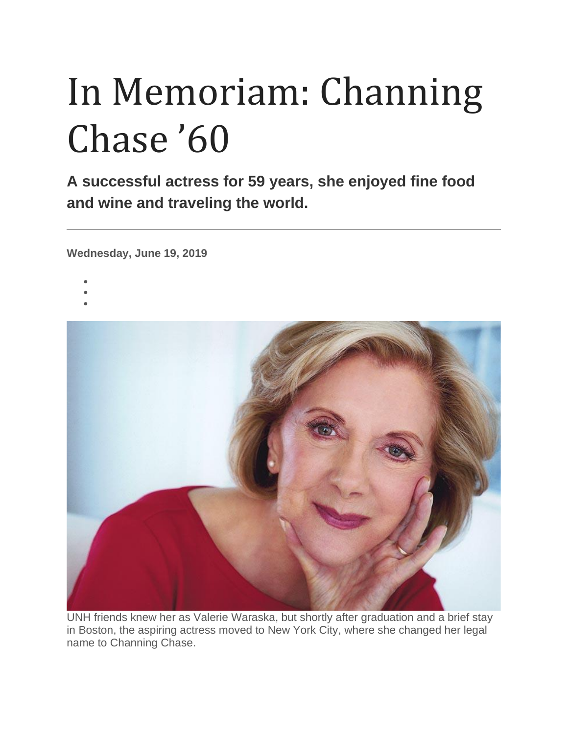## In Memoriam: Channing Chase '60

**A successful actress for 59 years, she enjoyed fine food and wine and traveling the world.**

**Wednesday, June 19, 2019**

- •
- •
- •



UNH friends knew her as Valerie Waraska, but shortly after graduation and a brief stay in Boston, the aspiring actress moved to New York City, where she changed her legal name to Channing Chase.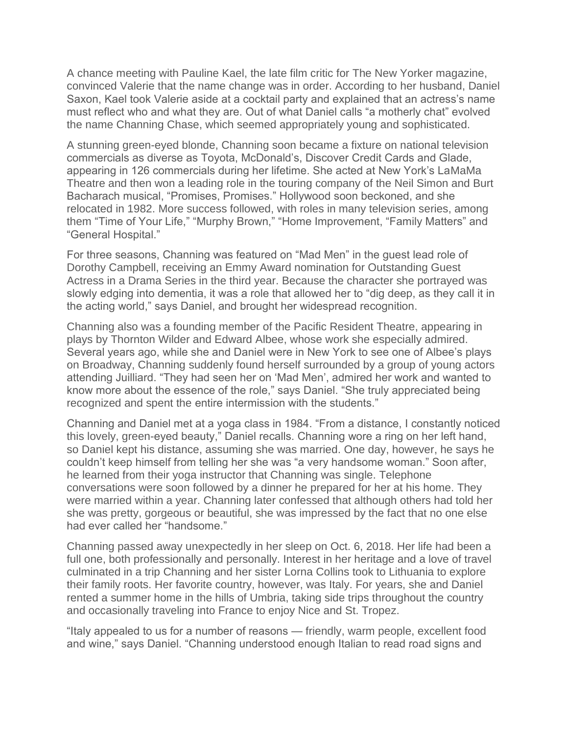A chance meeting with Pauline Kael, the late film critic for The New Yorker magazine, convinced Valerie that the name change was in order. According to her husband, Daniel Saxon, Kael took Valerie aside at a cocktail party and explained that an actress's name must reflect who and what they are. Out of what Daniel calls "a motherly chat" evolved the name Channing Chase, which seemed appropriately young and sophisticated.

A stunning green-eyed blonde, Channing soon became a fixture on national television commercials as diverse as Toyota, McDonald's, Discover Credit Cards and Glade, appearing in 126 commercials during her lifetime. She acted at New York's LaMaMa Theatre and then won a leading role in the touring company of the Neil Simon and Burt Bacharach musical, "Promises, Promises." Hollywood soon beckoned, and she relocated in 1982. More success followed, with roles in many television series, among them "Time of Your Life," "Murphy Brown," "Home Improvement, "Family Matters" and "General Hospital."

For three seasons, Channing was featured on "Mad Men" in the guest lead role of Dorothy Campbell, receiving an Emmy Award nomination for Outstanding Guest Actress in a Drama Series in the third year. Because the character she portrayed was slowly edging into dementia, it was a role that allowed her to "dig deep, as they call it in the acting world," says Daniel, and brought her widespread recognition.

Channing also was a founding member of the Pacific Resident Theatre, appearing in plays by Thornton Wilder and Edward Albee, whose work she especially admired. Several years ago, while she and Daniel were in New York to see one of Albee's plays on Broadway, Channing suddenly found herself surrounded by a group of young actors attending Juilliard. "They had seen her on 'Mad Men', admired her work and wanted to know more about the essence of the role," says Daniel. "She truly appreciated being recognized and spent the entire intermission with the students."

Channing and Daniel met at a yoga class in 1984. "From a distance, I constantly noticed this lovely, green-eyed beauty," Daniel recalls. Channing wore a ring on her left hand, so Daniel kept his distance, assuming she was married. One day, however, he says he couldn't keep himself from telling her she was "a very handsome woman." Soon after, he learned from their yoga instructor that Channing was single. Telephone conversations were soon followed by a dinner he prepared for her at his home. They were married within a year. Channing later confessed that although others had told her she was pretty, gorgeous or beautiful, she was impressed by the fact that no one else had ever called her "handsome."

Channing passed away unexpectedly in her sleep on Oct. 6, 2018. Her life had been a full one, both professionally and personally. Interest in her heritage and a love of travel culminated in a trip Channing and her sister Lorna Collins took to Lithuania to explore their family roots. Her favorite country, however, was Italy. For years, she and Daniel rented a summer home in the hills of Umbria, taking side trips throughout the country and occasionally traveling into France to enjoy Nice and St. Tropez.

"Italy appealed to us for a number of reasons — friendly, warm people, excellent food and wine," says Daniel. "Channing understood enough Italian to read road signs and